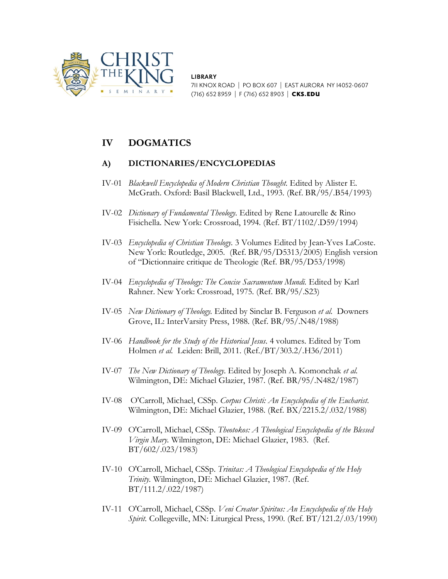

**LIBRARY** 711 KNOX ROAD | PO BOX 607 | EAST AURORA NY 14052-0607 (716) 652 8959 | F (716) 652 8903 | CKS.EDU

# **IV DOGMATICS**

# **A) DICTIONARIES/ENCYCLOPEDIAS**

- IV-01 *Blackwell Encyclopedia of Modern Christian Thought.* Edited by Alister E. McGrath. Oxford: Basil Blackwell, Ltd., 1993. (Ref. BR/95/.B54/1993)
- IV-02 *Dictionary of Fundamental Theology.* Edited by Rene Latourelle & Rino Fisichella. New York: Crossroad, 1994. (Ref. BT/1102/.D59/1994)
- IV-03 *Encyclopedia of Christian Theology.* 3 Volumes Edited by Jean-Yves LaCoste. New York: Routledge, 2005. (Ref. BR/95/D5313/2005) English version of "Dictionnaire critique de Theologie (Ref. BR/95/D53/1998)
- IV-04 *Encyclopedia of Theology: The Concise Sacramentum Mundi.* Edited by Karl Rahner. New York: Crossroad, 1975. (Ref. BR/95/.S23)
- IV-05 *New Dictionary of Theology.* Edited by Sinclar B. Ferguson *et al.* Downers Grove, IL: InterVarsity Press, 1988. (Ref. BR/95/.N48/1988)
- IV-06 *Handbook for the Study of the Historical Jesus*. 4 volumes. Edited by Tom Holmen *et al.* Leiden: Brill, 2011. (Ref./BT/303.2/.H36/2011)
- IV-07 *The New Dictionary of Theology.* Edited by Joseph A. Komonchak *et al.*  Wilmington, DE: Michael Glazier, 1987. (Ref. BR/95/.N482/1987)
- IV-08 O'Carroll, Michael, CSSp. *Corpus Christi: An Encyclopedia of the Eucharist.*  Wilmington, DE: Michael Glazier, 1988. (Ref. BX/2215.2/.032/1988)
- IV-09 O'Carroll, Michael, CSSp. *Theotokos: A Theological Encyclopedia of the Blessed Virgin Mary.* Wilmington, DE: Michael Glazier, 1983. (Ref. BT/602/.023/1983)
- IV-10 O'Carroll, Michael, CSSp. *Trinitas: A Theological Encyclopedia of the Holy Trinity.* Wilmington, DE: Michael Glazier, 1987. (Ref. BT/111.2/.022/1987)
- IV-11 O'Carroll, Michael, CSSp. *Veni Creator Spiritus: An Encyclopedia of the Holy Spirit.* Collegeville, MN: Liturgical Press, 1990. (Ref. BT/121.2/.03/1990)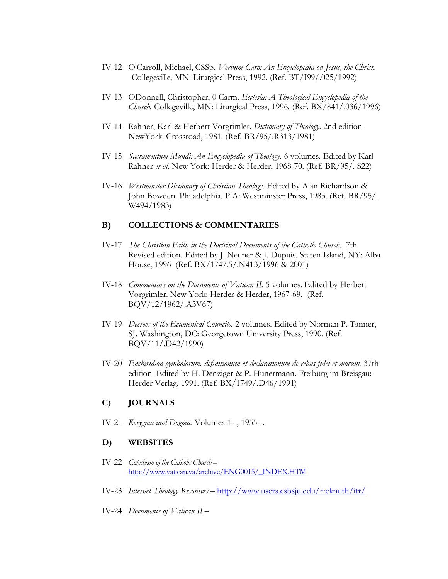- IV-12 O'Carroll, Michael, CSSp. *Verbum Caro: An Encyclopedia on Jesus, the Christ.*  Collegeville, MN: Liturgical Press, 1992. (Ref. BT/I99/.025/1992)
- IV-13 ODonnell, Christopher, 0 Carm. *Ecclesia: A Theological Encyclopedia of the Church.* Collegeville, MN: Liturgical Press, 1996. (Ref. BX/841/.036/1996)
- IV-14 Rahner, Karl & Herbert Vorgrimler. *Dictionary of Theology.* 2nd edition. NewYork: Crossroad, 1981. (Ref. BR/95/.R313/1981)
- IV-15 *Sacramentum Mundi: An Encyclopedia of Theology.* 6 volumes. Edited by Karl Rahner *et al.* New York: Herder & Herder, 1968-70. (Ref. BR/95/. S22)
- IV-16 *Westminster Dictionary of Christian Theology.* Edited by Alan Richardson & John Bowden. Philadelphia, P A: Westminster Press, 1983. (Ref. BR/95/. W494/1983)

## **B) COLLECTIONS & COMMENTARIES**

- IV-17 *The Christian Faith in the Doctrinal Documents of the Catholic Church.* 7th Revised edition. Edited by J*.* Neuner & J*.* Dupuis. Staten Island, NY: Alba House, 1996 (Ref. BX/1747.5/.N413/1996 & 2001)
- IV-18 *Commentary on the Documents of Vatican II.* 5 volumes. Edited by Herbert Vorgrimler. New York: Herder & Herder, 1967-69. (Ref. BQV/12/1962/.A3V67)
- IV-19 *Decrees of the Ecumenical Councils.* 2 volumes. Edited by Norman P. Tanner, SJ. Washington, DC: Georgetown University Press, 1990. (Ref. BQV/11/.D42/1990)
- IV-20 *Enchiridion symbolorum. definitionum et declarationum de rebus fidei et morum.* 37th edition. Edited by H. Denziger & P. Hunermann. Freiburg im Breisgau: Herder Verlag, 1991. (Ref. BX/1749/.D46/1991)

### **C) JOURNALS**

IV-21 *Kerygma und Dogma.* Volumes 1--, 1955--.

### **D) WEBSITES**

- IV-22 *Catechism of the Catholic Church –* [http://www.vatican.va/archive/ENG0015/\\_INDEX.HTM](http://www.vatican.va/archive/ENG0015/_INDEX.HTM)
- IV-23 *Internet Theology Resources –* [http://www.users.csbsju.edu/~eknuth/itr/](http://www.users.csbsju.edu/%7Eeknuth/itr/)
- IV-24 *Documents of Vatican II –*